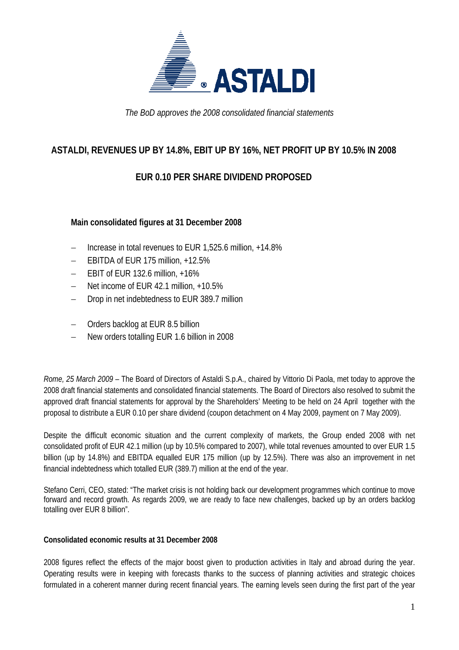

*The BoD approves the 2008 consolidated financial statements* 

### **ASTALDI, REVENUES UP BY 14.8%, EBIT UP BY 16%, NET PROFIT UP BY 10.5% IN 2008**

## **EUR 0.10 PER SHARE DIVIDEND PROPOSED**

### **Main consolidated figures at 31 December 2008**

- − Increase in total revenues to EUR 1,525.6 million, +14.8%
- − EBITDA of EUR 175 million, +12.5%
- − EBIT of EUR 132.6 million, +16%
- − Net income of EUR 42.1 million, +10.5%
- Drop in net indebtedness to EUR 389.7 million
- − Orders backlog at EUR 8.5 billion
- − New orders totalling EUR 1.6 billion in 2008

*Rome, 25 March 2009* – The Board of Directors of Astaldi S.p.A., chaired by Vittorio Di Paola, met today to approve the 2008 draft financial statements and consolidated financial statements. The Board of Directors also resolved to submit the approved draft financial statements for approval by the Shareholders' Meeting to be held on 24 April together with the proposal to distribute a EUR 0.10 per share dividend (coupon detachment on 4 May 2009, payment on 7 May 2009).

Despite the difficult economic situation and the current complexity of markets, the Group ended 2008 with net consolidated profit of EUR 42.1 million (up by 10.5% compared to 2007), while total revenues amounted to over EUR 1.5 billion (up by 14.8%) and EBITDA equalled EUR 175 million (up by 12.5%). There was also an improvement in net financial indebtedness which totalled EUR (389.7) million at the end of the year.

Stefano Cerri, CEO, stated: "The market crisis is not holding back our development programmes which continue to move forward and record growth. As regards 2009, we are ready to face new challenges, backed up by an orders backlog totalling over EUR 8 billion".

#### **Consolidated economic results at 31 December 2008**

2008 figures reflect the effects of the major boost given to production activities in Italy and abroad during the year. Operating results were in keeping with forecasts thanks to the success of planning activities and strategic choices formulated in a coherent manner during recent financial years. The earning levels seen during the first part of the year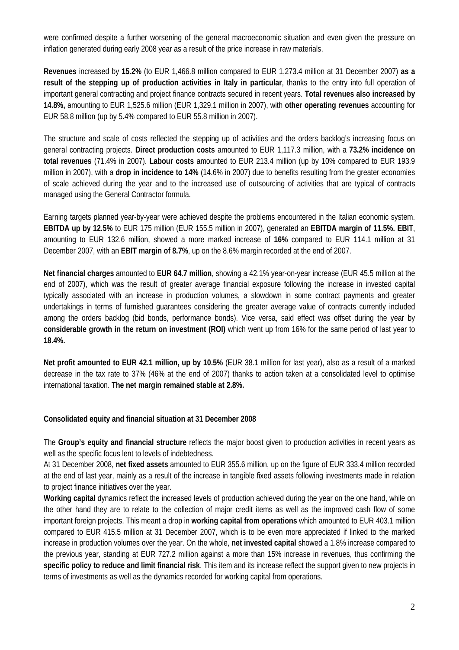were confirmed despite a further worsening of the general macroeconomic situation and even given the pressure on inflation generated during early 2008 year as a result of the price increase in raw materials.

**Revenues** increased by **15.2%** (to EUR 1,466.8 million compared to EUR 1,273.4 million at 31 December 2007) **as a result of the stepping up of production activities in Italy in particular**, thanks to the entry into full operation of important general contracting and project finance contracts secured in recent years. **Total revenues also increased by 14.8%,** amounting to EUR 1,525.6 million (EUR 1,329.1 million in 2007), with **other operating revenues** accounting for EUR 58.8 million (up by 5.4% compared to EUR 55.8 million in 2007).

The structure and scale of costs reflected the stepping up of activities and the orders backlog's increasing focus on general contracting projects. **Direct production costs** amounted to EUR 1,117.3 million, with a **73.2% incidence on total revenues** (71.4% in 2007). **Labour costs** amounted to EUR 213.4 million (up by 10% compared to EUR 193.9 million in 2007), with a **drop in incidence to 14%** (14.6% in 2007) due to benefits resulting from the greater economies of scale achieved during the year and to the increased use of outsourcing of activities that are typical of contracts managed using the General Contractor formula.

Earning targets planned year-by-year were achieved despite the problems encountered in the Italian economic system. **EBITDA up by 12.5%** to EUR 175 million (EUR 155.5 million in 2007), generated an **EBITDA margin of 11.5%. EBIT**, amounting to EUR 132.6 million, showed a more marked increase of **16%** compared to EUR 114.1 million at 31 December 2007, with an **EBIT margin of 8.7%**, up on the 8.6% margin recorded at the end of 2007.

**Net financial charges** amounted to **EUR 64.7 million**, showing a 42.1% year-on-year increase (EUR 45.5 million at the end of 2007), which was the result of greater average financial exposure following the increase in invested capital typically associated with an increase in production volumes, a slowdown in some contract payments and greater undertakings in terms of furnished guarantees considering the greater average value of contracts currently included among the orders backlog (bid bonds, performance bonds). Vice versa, said effect was offset during the year by **considerable growth in the return on investment (ROI)** which went up from 16% for the same period of last year to **18.4%.**

**Net profit amounted to EUR 42.1 million, up by 10.5%** (EUR 38.1 million for last year), also as a result of a marked decrease in the tax rate to 37% (46% at the end of 2007) thanks to action taken at a consolidated level to optimise international taxation. **The net margin remained stable at 2.8%.**

#### **Consolidated equity and financial situation at 31 December 2008**

The **Group's equity and financial structure** reflects the major boost given to production activities in recent years as well as the specific focus lent to levels of indebtedness.

At 31 December 2008, **net fixed assets** amounted to EUR 355.6 million, up on the figure of EUR 333.4 million recorded at the end of last year, mainly as a result of the increase in tangible fixed assets following investments made in relation to project finance initiatives over the year.

**Working capital** dynamics reflect the increased levels of production achieved during the year on the one hand, while on the other hand they are to relate to the collection of major credit items as well as the improved cash flow of some important foreign projects. This meant a drop in **working capital from operations** which amounted to EUR 403.1 million compared to EUR 415.5 million at 31 December 2007, which is to be even more appreciated if linked to the marked increase in production volumes over the year. On the whole, **net invested capital** showed a 1.8% increase compared to the previous year, standing at EUR 727.2 million against a more than 15% increase in revenues, thus confirming the **specific policy to reduce and limit financial risk**. This item and its increase reflect the support given to new projects in terms of investments as well as the dynamics recorded for working capital from operations.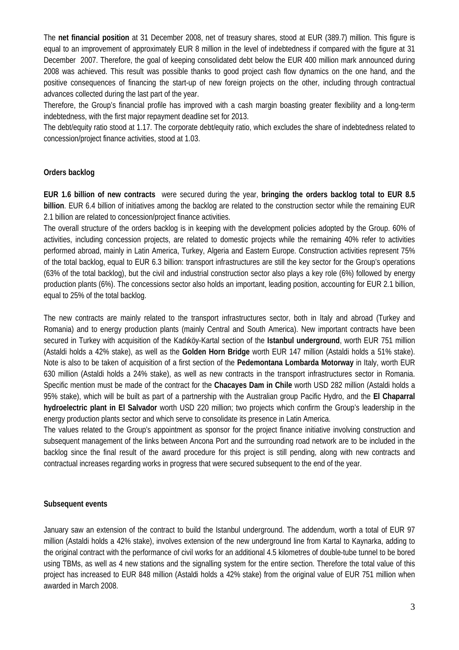The **net financial position** at 31 December 2008, net of treasury shares, stood at EUR (389.7) million. This figure is equal to an improvement of approximately EUR 8 million in the level of indebtedness if compared with the figure at 31 December 2007. Therefore, the goal of keeping consolidated debt below the EUR 400 million mark announced during 2008 was achieved. This result was possible thanks to good project cash flow dynamics on the one hand, and the positive consequences of financing the start-up of new foreign projects on the other, including through contractual advances collected during the last part of the year.

Therefore, the Group's financial profile has improved with a cash margin boasting greater flexibility and a long-term indebtedness, with the first major repayment deadline set for 2013.

The debt/equity ratio stood at 1.17. The corporate debt/equity ratio, which excludes the share of indebtedness related to concession/project finance activities, stood at 1.03.

### **Orders backlog**

**EUR 1.6 billion of new contracts** were secured during the year, **bringing the orders backlog total to EUR 8.5 billion**. EUR 6.4 billion of initiatives among the backlog are related to the construction sector while the remaining EUR 2.1 billion are related to concession/project finance activities.

The overall structure of the orders backlog is in keeping with the development policies adopted by the Group. 60% of activities, including concession projects, are related to domestic projects while the remaining 40% refer to activities performed abroad, mainly in Latin America, Turkey, Algeria and Eastern Europe. Construction activities represent 75% of the total backlog, equal to EUR 6.3 billion: transport infrastructures are still the key sector for the Group's operations (63% of the total backlog), but the civil and industrial construction sector also plays a key role (6%) followed by energy production plants (6%). The concessions sector also holds an important, leading position, accounting for EUR 2.1 billion, equal to 25% of the total backlog.

The new contracts are mainly related to the transport infrastructures sector, both in Italy and abroad (Turkey and Romania) and to energy production plants (mainly Central and South America). New important contracts have been secured in Turkey with acquisition of the Kadıköy-Kartal section of the **Istanbul underground**, worth EUR 751 million (Astaldi holds a 42% stake), as well as the **Golden Horn Bridge** worth EUR 147 million (Astaldi holds a 51% stake). Note is also to be taken of acquisition of a first section of the **Pedemontana Lombarda Motorway** in Italy, worth EUR 630 million (Astaldi holds a 24% stake), as well as new contracts in the transport infrastructures sector in Romania. Specific mention must be made of the contract for the **Chacayes Dam in Chile** worth USD 282 million (Astaldi holds a 95% stake), which will be built as part of a partnership with the Australian group Pacific Hydro, and the **El Chaparral hydroelectric plant in El Salvador** worth USD 220 million; two projects which confirm the Group's leadership in the energy production plants sector and which serve to consolidate its presence in Latin America.

The values related to the Group's appointment as sponsor for the project finance initiative involving construction and subsequent management of the links between Ancona Port and the surrounding road network are to be included in the backlog since the final result of the award procedure for this project is still pending, along with new contracts and contractual increases regarding works in progress that were secured subsequent to the end of the year.

#### **Subsequent events**

January saw an extension of the contract to build the Istanbul underground. The addendum, worth a total of EUR 97 million (Astaldi holds a 42% stake), involves extension of the new underground line from Kartal to Kaynarka, adding to the original contract with the performance of civil works for an additional 4.5 kilometres of double-tube tunnel to be bored using TBMs, as well as 4 new stations and the signalling system for the entire section. Therefore the total value of this project has increased to EUR 848 million (Astaldi holds a 42% stake) from the original value of EUR 751 million when awarded in March 2008.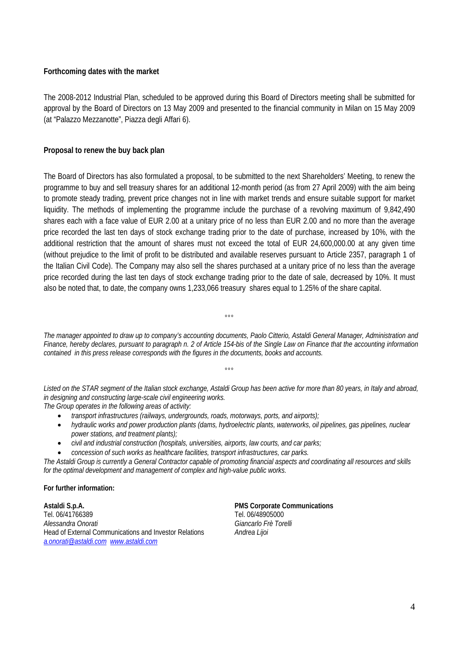#### **Forthcoming dates with the market**

The 2008-2012 Industrial Plan, scheduled to be approved during this Board of Directors meeting shall be submitted for approval by the Board of Directors on 13 May 2009 and presented to the financial community in Milan on 15 May 2009 (at "Palazzo Mezzanotte", Piazza degli Affari 6).

#### **Proposal to renew the buy back plan**

The Board of Directors has also formulated a proposal, to be submitted to the next Shareholders' Meeting, to renew the programme to buy and sell treasury shares for an additional 12-month period (as from 27 April 2009) with the aim being to promote steady trading, prevent price changes not in line with market trends and ensure suitable support for market liquidity. The methods of implementing the programme include the purchase of a revolving maximum of 9,842,490 shares each with a face value of EUR 2.00 at a unitary price of no less than EUR 2.00 and no more than the average price recorded the last ten days of stock exchange trading prior to the date of purchase, increased by 10%, with the additional restriction that the amount of shares must not exceed the total of EUR 24,600,000.00 at any given time (without prejudice to the limit of profit to be distributed and available reserves pursuant to Article 2357, paragraph 1 of the Italian Civil Code). The Company may also sell the shares purchased at a unitary price of no less than the average price recorded during the last ten days of stock exchange trading prior to the date of sale, decreased by 10%. It must also be noted that, to date, the company owns 1,233,066 treasury shares equal to 1.25% of the share capital.

*The manager appointed to draw up to company's accounting documents, Paolo Citterio, Astaldi General Manager, Administration and Finance, hereby declares, pursuant to paragraph n. 2 of Article 154-bis of the Single Law on Finance that the accounting information contained in this press release corresponds with the figures in the documents, books and accounts.* 

 $\overline{\mathbf{e}}$ 

 $000$ 

*Listed on the STAR segment of the Italian stock exchange, Astaldi Group has been active for more than 80 years, in Italy and abroad, in designing and constructing large-scale civil engineering works. The Group operates in the following areas of activity:* 

- *transport infrastructures (railways, undergrounds, roads, motorways, ports, and airports);*
- *hydraulic works and power production plants (dams, hydroelectric plants, waterworks, oil pipelines, gas pipelines, nuclear power stations, and treatment plants);*
- *civil and industrial construction (hospitals, universities, airports, law courts, and car parks;*
- *concession of such works as healthcare facilities, transport infrastructures, car parks.*

*The Astaldi Group is currently a General Contractor capable of promoting financial aspects and coordinating all resources and skills for the optimal development and management of complex and high-value public works.* 

#### **For further information:**

**Astaldi S.p.A. PMS Corporate Communications**  Tel. 06/41766389<br>Alessandra Onorati de Carlos Controllerin de Carlos Cancelli (Giancarlo Frè Torelli *Alessandra Onorati Giancarlo Frè Torelli*  Head of External Communications and Investor Relations *Andrea Lijoi a.onorati@astaldi.com www.astaldi.com*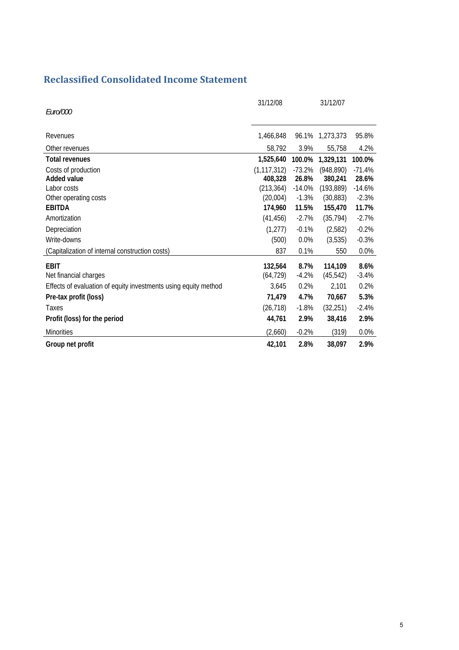# **Reclassified Consolidated Income Statement**

| Euro/000                                                        | 31/12/08                 |                   | 31/12/07              |                   |
|-----------------------------------------------------------------|--------------------------|-------------------|-----------------------|-------------------|
| Revenues                                                        | 1,466,848                |                   | 96.1% 1,273,373       | 95.8%             |
| Other revenues                                                  | 58,792                   | 3.9%              | 55,758                | 4.2%              |
| <b>Total revenues</b>                                           | 1,525,640                | 100.0%            | 1,329,131             | 100.0%            |
| Costs of production<br>Added value                              | (1, 117, 312)<br>408,328 | $-73.2%$<br>26.8% | (948, 890)<br>380,241 | $-71.4%$<br>28.6% |
| Labor costs                                                     | (213, 364)               | $-14.0%$          | (193, 889)            | $-14.6%$          |
| Other operating costs                                           | (20,004)                 | $-1.3%$           | (30, 883)             | $-2.3%$           |
| <b>EBITDA</b>                                                   | 174,960                  | 11.5%             | 155,470               | 11.7%             |
| Amortization                                                    | (41, 456)                | $-2.7%$           | (35, 794)             | $-2.7%$           |
| Depreciation                                                    | (1, 277)                 | $-0.1%$           | (2,582)               | $-0.2%$           |
| Write-downs                                                     | (500)                    | 0.0%              | (3,535)               | $-0.3%$           |
| (Capitalization of internal construction costs)                 | 837                      | 0.1%              | 550                   | 0.0%              |
| <b>EBIT</b><br>Net financial charges                            | 132,564<br>(64, 729)     | 8.7%<br>$-4.2%$   | 114,109<br>(45, 542)  | 8.6%<br>$-3.4%$   |
| Effects of evaluation of equity investments using equity method | 3,645                    | 0.2%              | 2,101                 | 0.2%              |
| Pre-tax profit (loss)                                           | 71,479                   | 4.7%              | 70,667                | 5.3%              |
| Taxes                                                           | (26, 718)                | $-1.8%$           | (32, 251)             | $-2.4%$           |
| Profit (loss) for the period                                    | 44,761                   | 2.9%              | 38,416                | 2.9%              |
| <b>Minorities</b>                                               | (2,660)                  | $-0.2%$           | (319)                 | 0.0%              |
| Group net profit                                                | 42,101                   | 2.8%              | 38,097                | 2.9%              |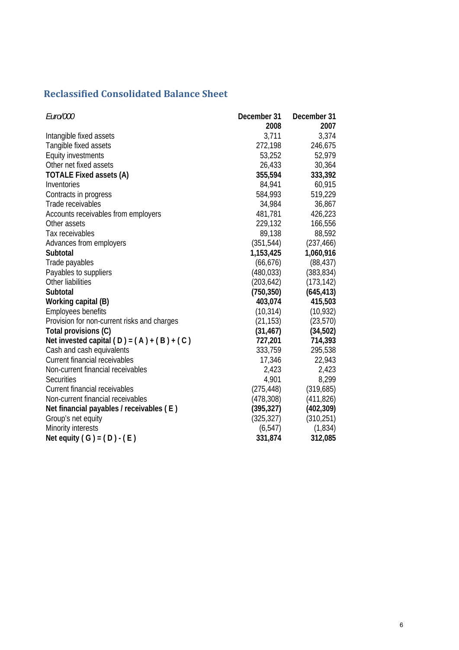# **Reclassified Consolidated Balance Sheet**

| Euro/000                                     | December 31 | December 31 |
|----------------------------------------------|-------------|-------------|
|                                              | 2008        | 2007        |
| Intangible fixed assets                      | 3,711       | 3,374       |
| Tangible fixed assets                        | 272,198     | 246,675     |
| <b>Equity investments</b>                    | 53,252      | 52,979      |
| Other net fixed assets                       | 26,433      | 30,364      |
| <b>TOTALE Fixed assets (A)</b>               | 355,594     | 333,392     |
| Inventories                                  | 84,941      | 60,915      |
| Contracts in progress                        | 584,993     | 519,229     |
| Trade receivables                            | 34,984      | 36,867      |
| Accounts receivables from employers          | 481,781     | 426,223     |
| Other assets                                 | 229,132     | 166,556     |
| Tax receivables                              | 89,138      | 88,592      |
| Advances from employers                      | (351, 544)  | (237, 466)  |
| Subtotal                                     | 1,153,425   | 1,060,916   |
| Trade payables                               | (66, 676)   | (88, 437)   |
| Payables to suppliers                        | (480, 033)  | (383, 834)  |
| Other liabilities                            | (203, 642)  | (173, 142)  |
| Subtotal                                     | (750, 350)  | (645, 413)  |
| Working capital (B)                          | 403,074     | 415,503     |
| <b>Employees benefits</b>                    | (10, 314)   | (10, 932)   |
| Provision for non-current risks and charges  | (21, 153)   | (23, 570)   |
| Total provisions (C)                         | (31, 467)   | (34,502)    |
| Net invested capital $(D) = (A) + (B) + (C)$ | 727,201     | 714,393     |
| Cash and cash equivalents                    | 333,759     | 295,538     |
| <b>Current financial receivables</b>         | 17,346      | 22,943      |
| Non-current financial receivables            | 2,423       | 2,423       |
| <b>Securities</b>                            | 4,901       | 8,299       |
| <b>Current financial receivables</b>         | (275, 448)  | (319,685)   |
| Non-current financial receivables            | (478, 308)  | (411, 826)  |
| Net financial payables / receivables (E)     | (395, 327)  | (402, 309)  |
| Group's net equity                           | (325, 327)  | (310, 251)  |
| Minority interests                           | (6, 547)    | (1,834)     |
| Net equity $(G) = (D) - (E)$                 | 331,874     | 312,085     |